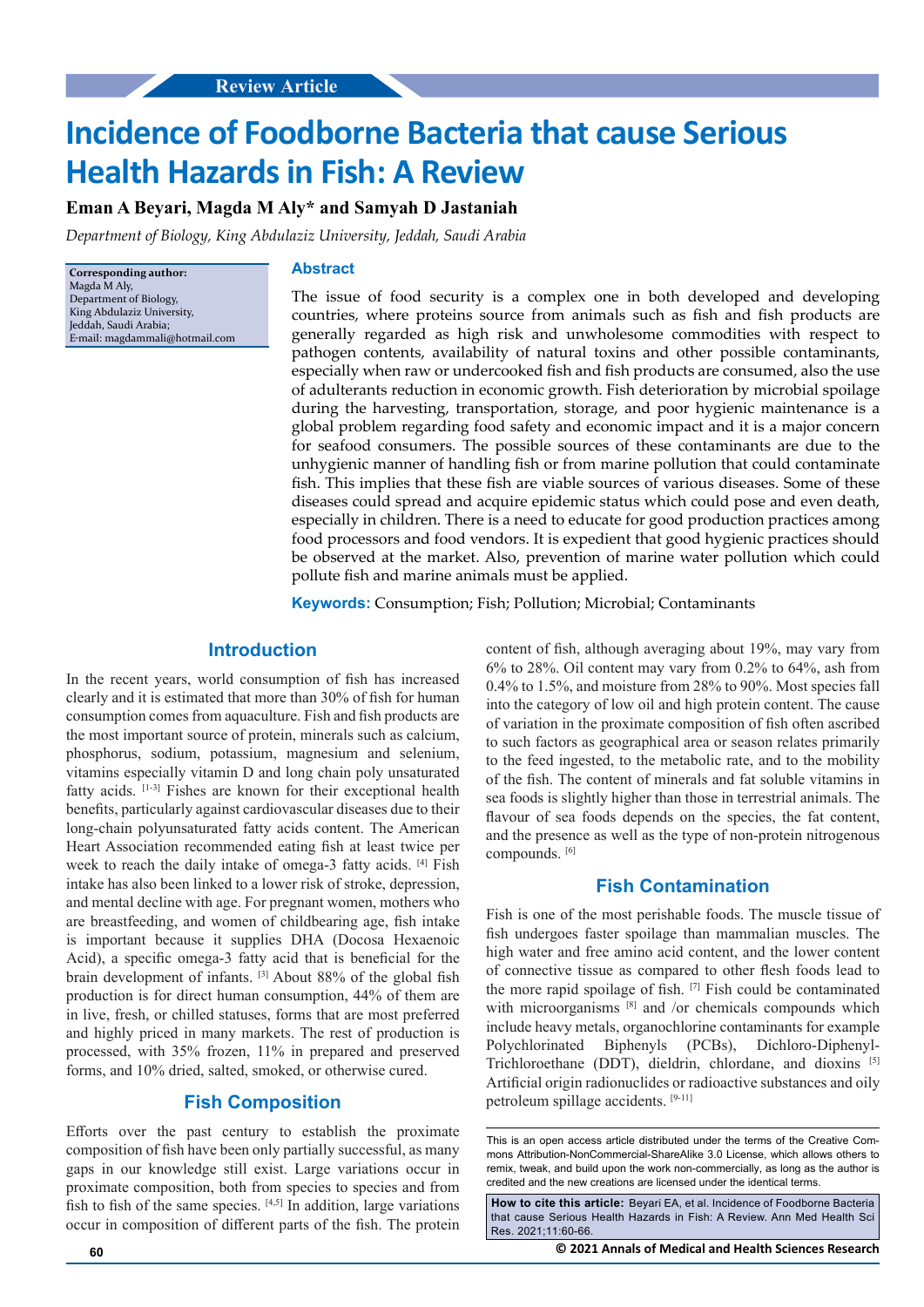# **Incidence of Foodborne Bacteria that cause Serious Health Hazards in Fish: A Review**

## **Eman A Beyari, Magda M Aly\* and Samyah D Jastaniah**

*Department of Biology, King Abdulaziz University, Jeddah, Saudi Arabia*

**Corresponding author:** Magda M Aly, Department of Biology, King Abdulaziz University, Jeddah, Saudi Arabia; E-mail: magdammali@hotmail.com

#### **Abstract**

The issue of food security is a complex one in both developed and developing countries, where proteins source from animals such as fish and fish products are generally regarded as high risk and unwholesome commodities with respect to pathogen contents, availability of natural toxins and other possible contaminants, especially when raw or undercooked fish and fish products are consumed, also the use of adulterants reduction in economic growth. Fish deterioration by microbial spoilage during the harvesting, transportation, storage, and poor hygienic maintenance is a global problem regarding food safety and economic impact and it is a major concern for seafood consumers. The possible sources of these contaminants are due to the unhygienic manner of handling fish or from marine pollution that could contaminate fish. This implies that these fish are viable sources of various diseases. Some of these diseases could spread and acquire epidemic status which could pose and even death, especially in children. There is a need to educate for good production practices among food processors and food vendors. It is expedient that good hygienic practices should be observed at the market. Also, prevention of marine water pollution which could pollute fish and marine animals must be applied.

**Keywords:** Consumption; Fish; Pollution; Microbial; Contaminants

#### **Introduction**

In the recent years, world consumption of fish has increased clearly and it is estimated that more than 30% of fish for human consumption comes from aquaculture. Fish and fish products are the most important source of protein, minerals such as calcium, phosphorus, sodium, potassium, magnesium and selenium, vitamins especially vitamin D and long chain poly unsaturated fatty acids. [1-3] Fishes are known for their exceptional health benefits, particularly against cardiovascular diseases due to their long-chain polyunsaturated fatty acids content. The American Heart Association recommended eating fish at least twice per week to reach the daily intake of omega-3 fatty acids. [4] Fish intake has also been linked to a lower risk of stroke, depression, and mental decline with age. For pregnant women, mothers who are breastfeeding, and women of childbearing age, fish intake is important because it supplies DHA (Docosa Hexaenoic Acid), a specific omega-3 fatty acid that is beneficial for the brain development of infants. [3] About 88% of the global fish production is for direct human consumption, 44% of them are in live, fresh, or chilled statuses, forms that are most preferred and highly priced in many markets. The rest of production is processed, with 35% frozen, 11% in prepared and preserved forms, and 10% dried, salted, smoked, or otherwise cured.

## **Fish Composition**

Efforts over the past century to establish the proximate composition of fish have been only partially successful, as many gaps in our knowledge still exist. Large variations occur in proximate composition, both from species to species and from fish to fish of the same species. [4,5] In addition, large variations occur in composition of different parts of the fish. The protein

content of fish, although averaging about 19%, may vary from 6% to 28%. Oil content may vary from 0.2% to 64%, ash from 0.4% to 1.5%, and moisture from 28% to 90%. Most species fall into the category of low oil and high protein content. The cause of variation in the proximate composition of fish often ascribed to such factors as geographical area or season relates primarily to the feed ingested, to the metabolic rate, and to the mobility of the fish. The content of minerals and fat soluble vitamins in sea foods is slightly higher than those in terrestrial animals. The flavour of sea foods depends on the species, the fat content, and the presence as well as the type of non-protein nitrogenous compounds. [6]

## **Fish Contamination**

Fish is one of the most perishable foods. The muscle tissue of fish undergoes faster spoilage than mammalian muscles. The high water and free amino acid content, and the lower content of connective tissue as compared to other flesh foods lead to the more rapid spoilage of fish. [7] Fish could be contaminated with microorganisms [8] and /or chemicals compounds which include heavy metals, organochlorine contaminants for example Polychlorinated Biphenyls (PCBs), Dichloro-Diphenyl-Trichloroethane (DDT), dieldrin, chlordane, and dioxins [5] Artificial origin radionuclides or radioactive substances and oily petroleum spillage accidents. [9-11]

This is an open access article distributed under the terms of the Creative Commons Attribution-NonCommercial-ShareAlike 3.0 License, which allows others to remix, tweak, and build upon the work non-commercially, as long as the author is credited and the new creations are licensed under the identical terms.

**How to cite this article:** Beyari EA, et al. Incidence of Foodborne Bacteria that cause Serious Health Hazards in Fish: A Review. Ann Med Health Sci Res. 2021;11:60-66.

**60 © 2021 Annals of Medical and Health Sciences Research**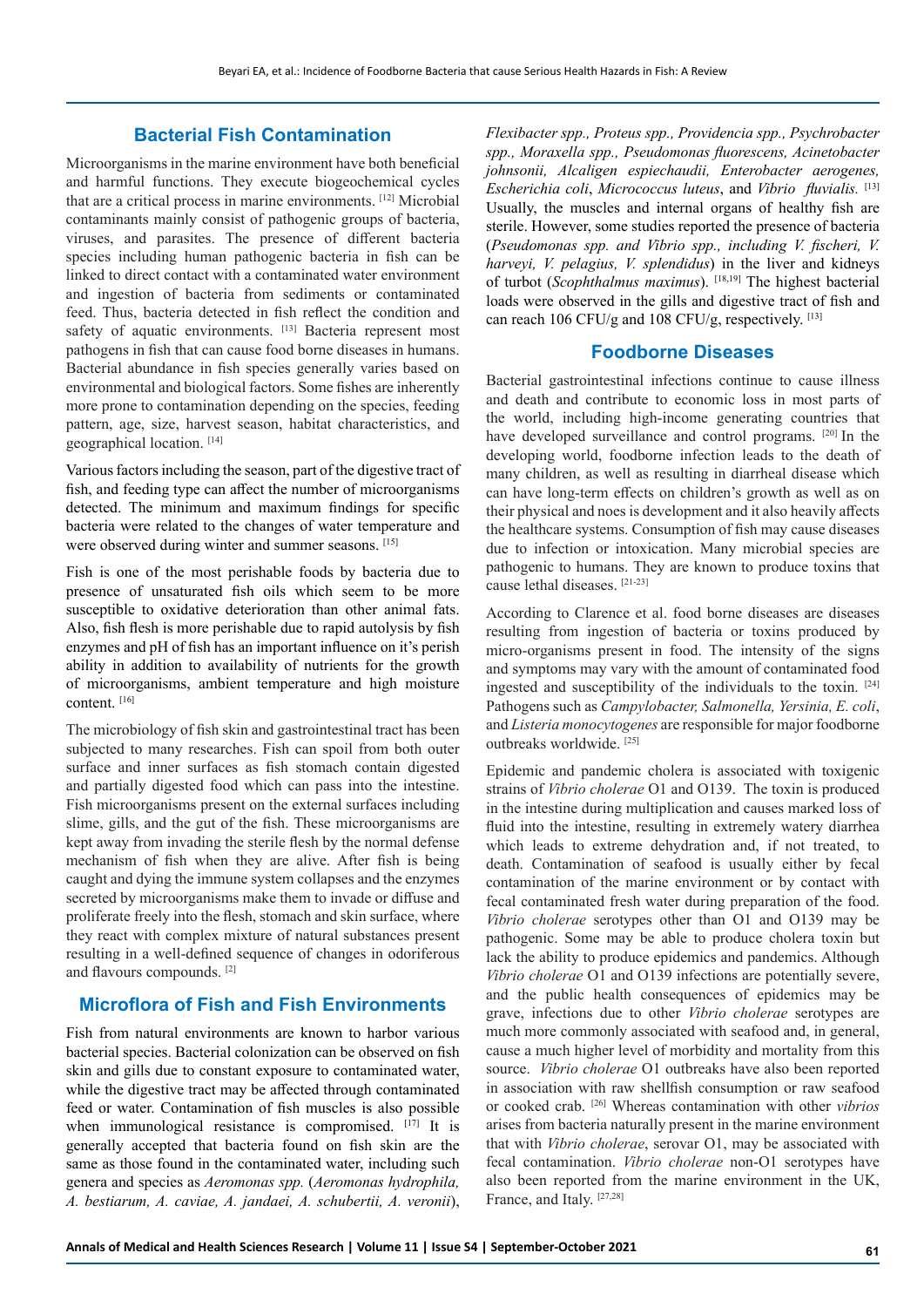## **Bacterial Fish Contamination**

Microorganisms in the marine environment have both beneficial and harmful functions. They execute biogeochemical cycles that are a critical process in marine environments. [12] Microbial contaminants mainly consist of pathogenic groups of bacteria, viruses, and parasites. The presence of different bacteria species including human pathogenic bacteria in fish can be linked to direct contact with a contaminated water environment and ingestion of bacteria from sediments or contaminated feed. Thus, bacteria detected in fish reflect the condition and safety of aquatic environments. [13] Bacteria represent most pathogens in fish that can cause food borne diseases in humans. Bacterial abundance in fish species generally varies based on environmental and biological factors. Some fishes are inherently more prone to contamination depending on the species, feeding pattern, age, size, harvest season, habitat characteristics, and geographical location. [14]

Various factors including the season, part of the digestive tract of fish, and feeding type can affect the number of microorganisms detected. The minimum and maximum findings for specific bacteria were related to the changes of water temperature and were observed during winter and summer seasons. [15]

Fish is one of the most perishable foods by bacteria due to presence of unsaturated fish oils which seem to be more susceptible to oxidative deterioration than other animal fats. Also, fish flesh is more perishable due to rapid autolysis by fish enzymes and pH of fish has an important influence on it's perish ability in addition to availability of nutrients for the growth of microorganisms, ambient temperature and high moisture content. [16]

The microbiology of fish skin and gastrointestinal tract has been subjected to many researches. Fish can spoil from both outer surface and inner surfaces as fish stomach contain digested and partially digested food which can pass into the intestine. Fish microorganisms present on the external surfaces including slime, gills, and the gut of the fish. These microorganisms are kept away from invading the sterile flesh by the normal defense mechanism of fish when they are alive. After fish is being caught and dying the immune system collapses and the enzymes secreted by microorganisms make them to invade or diffuse and proliferate freely into the flesh, stomach and skin surface, where they react with complex mixture of natural substances present resulting in a well-defined sequence of changes in odoriferous and flavours compounds. [2]

## **Microflora of Fish and Fish Environments**

Fish from natural environments are known to harbor various bacterial species. Bacterial colonization can be observed on fish skin and gills due to constant exposure to contaminated water, while the digestive tract may be affected through contaminated feed or water. Contamination of fish muscles is also possible when immunological resistance is compromised. [17] It is generally accepted that bacteria found on fish skin are the same as those found in the contaminated water, including such genera and species as *Aeromonas spp.* (*Aeromonas hydrophila, A. bestiarum, A. caviae, A. jandaei, A. schubertii, A. veronii*),

*Flexibacter spp., Proteus spp., Providencia spp., Psychrobacter spp., Moraxella spp., Pseudomonas fluorescens, Acinetobacter johnsonii, Alcaligen espiechaudii, Enterobacter aerogenes, Escherichia coli*, *Micrococcus luteus*, and *Vibrio fluvialis.* [13] Usually, the muscles and internal organs of healthy fish are sterile. However, some studies reported the presence of bacteria (*Pseudomonas spp. and Vibrio spp., including V. fischeri, V. harveyi, V. pelagius, V. splendidus*) in the liver and kidneys of turbot (*Scophthalmus maximus*). [18,19] The highest bacterial loads were observed in the gills and digestive tract of fish and can reach 106 CFU/g and 108 CFU/g, respectively. [13]

## **Foodborne Diseases**

Bacterial gastrointestinal infections continue to cause illness and death and contribute to economic loss in most parts of the world, including high-income generating countries that have developed surveillance and control programs. [20] In the developing world, foodborne infection leads to the death of many children, as well as resulting in diarrheal disease which can have long-term effects on children's growth as well as on their physical and noes is development and it also heavily affects the healthcare systems. Consumption of fish may cause diseases due to infection or intoxication. Many microbial species are pathogenic to humans. They are known to produce toxins that cause lethal diseases. [21-23]

According to Clarence et al. food borne diseases are diseases resulting from ingestion of bacteria or toxins produced by micro-organisms present in food. The intensity of the signs and symptoms may vary with the amount of contaminated food ingested and susceptibility of the individuals to the toxin. [24] Pathogens such as *Campylobacter, Salmonella, Yersinia, E. coli*, and *Listeria monocytogenes* are responsible for major foodborne outbreaks worldwide. [25]

Epidemic and pandemic cholera is associated with toxigenic strains of *Vibrio cholerae* O1 and O139. The toxin is produced in the intestine during multiplication and causes marked loss of fluid into the intestine, resulting in extremely watery diarrhea which leads to extreme dehydration and, if not treated, to death. Contamination of seafood is usually either by fecal contamination of the marine environment or by contact with fecal contaminated fresh water during preparation of the food. *Vibrio cholerae* serotypes other than O1 and O139 may be pathogenic. Some may be able to produce cholera toxin but lack the ability to produce epidemics and pandemics. Although *Vibrio cholerae* O1 and O139 infections are potentially severe, and the public health consequences of epidemics may be grave, infections due to other *Vibrio cholerae* serotypes are much more commonly associated with seafood and, in general, cause a much higher level of morbidity and mortality from this source. *Vibrio cholerae* O1 outbreaks have also been reported in association with raw shellfish consumption or raw seafood or cooked crab. [26] Whereas contamination with other *vibrios* arises from bacteria naturally present in the marine environment that with *Vibrio cholerae*, serovar O1, may be associated with fecal contamination. *Vibrio cholerae* non-O1 serotypes have also been reported from the marine environment in the UK, France, and Italy. [27,28]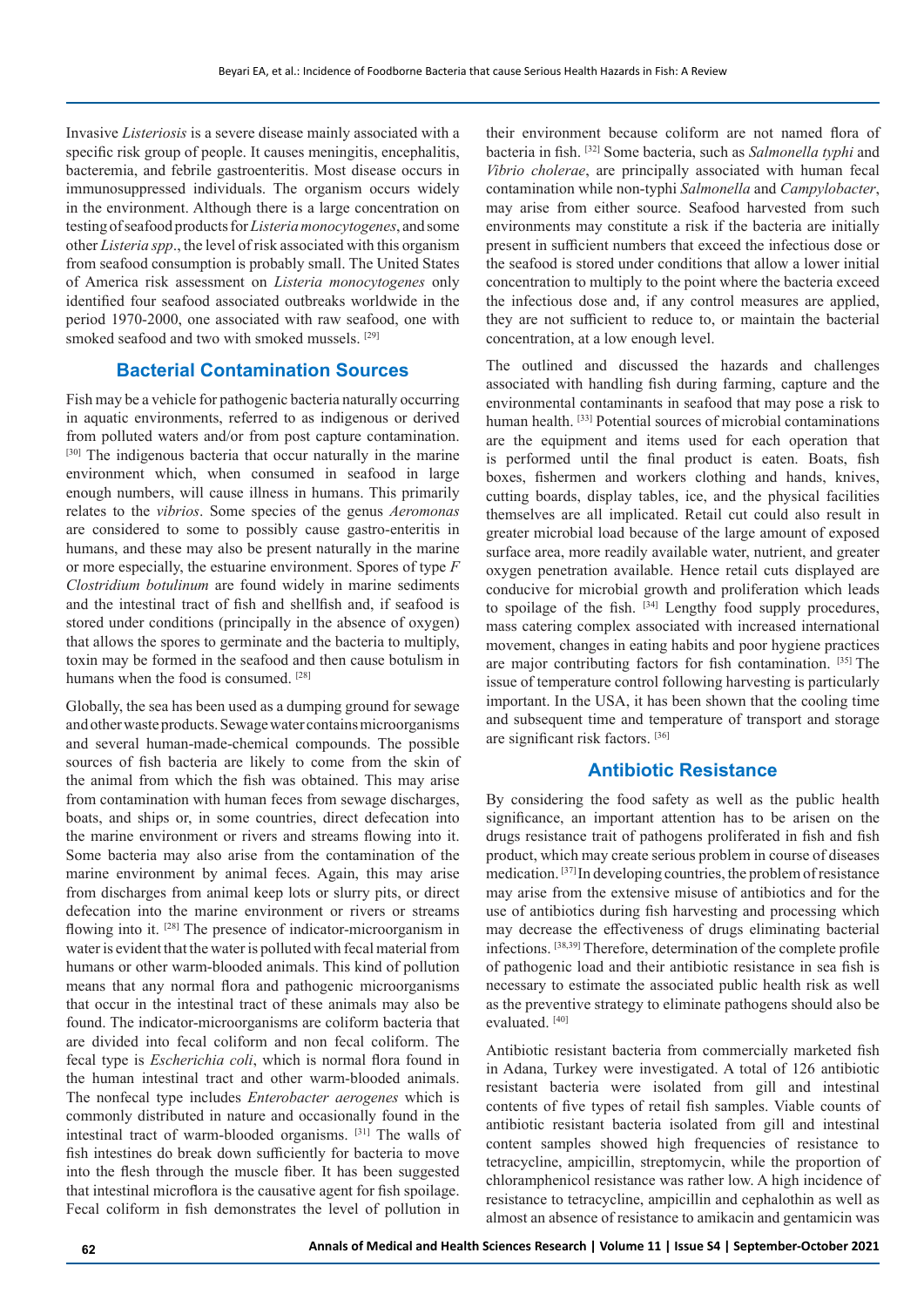Invasive *Listeriosis* is a severe disease mainly associated with a specific risk group of people. It causes meningitis, encephalitis, bacteremia, and febrile gastroenteritis. Most disease occurs in immunosuppressed individuals. The organism occurs widely in the environment. Although there is a large concentration on testing of seafood products for *Listeria monocytogenes*, and some other *Listeria spp*., the level of risk associated with this organism from seafood consumption is probably small. The United States of America risk assessment on *Listeria monocytogenes* only identified four seafood associated outbreaks worldwide in the period 1970-2000, one associated with raw seafood, one with smoked seafood and two with smoked mussels. <sup>[29]</sup>

## **Bacterial Contamination Sources**

Fish may be a vehicle for pathogenic bacteria naturally occurring in aquatic environments, referred to as indigenous or derived from polluted waters and/or from post capture contamination. [30] The indigenous bacteria that occur naturally in the marine environment which, when consumed in seafood in large enough numbers, will cause illness in humans. This primarily relates to the *vibrios*. Some species of the genus *Aeromonas* are considered to some to possibly cause gastro-enteritis in humans, and these may also be present naturally in the marine or more especially, the estuarine environment. Spores of type *F Clostridium botulinum* are found widely in marine sediments and the intestinal tract of fish and shellfish and, if seafood is stored under conditions (principally in the absence of oxygen) that allows the spores to germinate and the bacteria to multiply, toxin may be formed in the seafood and then cause botulism in humans when the food is consumed. [28]

Globally, the sea has been used as a dumping ground for sewage and other waste products. Sewage water contains microorganisms and several human-made-chemical compounds. The possible sources of fish bacteria are likely to come from the skin of the animal from which the fish was obtained. This may arise from contamination with human feces from sewage discharges, boats, and ships or, in some countries, direct defecation into the marine environment or rivers and streams flowing into it. Some bacteria may also arise from the contamination of the marine environment by animal feces. Again, this may arise from discharges from animal keep lots or slurry pits, or direct defecation into the marine environment or rivers or streams flowing into it. [28] The presence of indicator-microorganism in water is evident that the water is polluted with fecal material from humans or other warm-blooded animals. This kind of pollution means that any normal flora and pathogenic microorganisms that occur in the intestinal tract of these animals may also be found. The indicator-microorganisms are coliform bacteria that are divided into fecal coliform and non fecal coliform. The fecal type is *Escherichia coli*, which is normal flora found in the human intestinal tract and other warm-blooded animals. The nonfecal type includes *Enterobacter aerogenes* which is commonly distributed in nature and occasionally found in the intestinal tract of warm-blooded organisms. [31] The walls of fish intestines do break down sufficiently for bacteria to move into the flesh through the muscle fiber. It has been suggested that intestinal microflora is the causative agent for fish spoilage. Fecal coliform in fish demonstrates the level of pollution in

their environment because coliform are not named flora of bacteria in fish. [32] Some bacteria, such as *Salmonella typhi* and *Vibrio cholerae*, are principally associated with human fecal contamination while non-typhi *Salmonella* and *Campylobacter*, may arise from either source. Seafood harvested from such environments may constitute a risk if the bacteria are initially present in sufficient numbers that exceed the infectious dose or the seafood is stored under conditions that allow a lower initial concentration to multiply to the point where the bacteria exceed the infectious dose and, if any control measures are applied, they are not sufficient to reduce to, or maintain the bacterial concentration, at a low enough level.

The outlined and discussed the hazards and challenges associated with handling fish during farming, capture and the environmental contaminants in seafood that may pose a risk to human health. [33] Potential sources of microbial contaminations are the equipment and items used for each operation that is performed until the final product is eaten. Boats, fish boxes, fishermen and workers clothing and hands, knives, cutting boards, display tables, ice, and the physical facilities themselves are all implicated. Retail cut could also result in greater microbial load because of the large amount of exposed surface area, more readily available water, nutrient, and greater oxygen penetration available. Hence retail cuts displayed are conducive for microbial growth and proliferation which leads to spoilage of the fish. [34] Lengthy food supply procedures, mass catering complex associated with increased international movement, changes in eating habits and poor hygiene practices are major contributing factors for fish contamination. [35] The issue of temperature control following harvesting is particularly important. In the USA, it has been shown that the cooling time and subsequent time and temperature of transport and storage are significant risk factors. [36]

## **Antibiotic Resistance**

By considering the food safety as well as the public health significance, an important attention has to be arisen on the drugs resistance trait of pathogens proliferated in fish and fish product, which may create serious problem in course of diseases medication. [37] In developing countries, the problem of resistance may arise from the extensive misuse of antibiotics and for the use of antibiotics during fish harvesting and processing which may decrease the effectiveness of drugs eliminating bacterial infections. [38,39] Therefore, determination of the complete profile of pathogenic load and their antibiotic resistance in sea fish is necessary to estimate the associated public health risk as well as the preventive strategy to eliminate pathogens should also be evaluated.<sup>[40]</sup>

Antibiotic resistant bacteria from commercially marketed fish in Adana, Turkey were investigated. A total of 126 antibiotic resistant bacteria were isolated from gill and intestinal contents of five types of retail fish samples. Viable counts of antibiotic resistant bacteria isolated from gill and intestinal content samples showed high frequencies of resistance to tetracycline, ampicillin, streptomycin, while the proportion of chloramphenicol resistance was rather low. A high incidence of resistance to tetracycline, ampicillin and cephalothin as well as almost an absence of resistance to amikacin and gentamicin was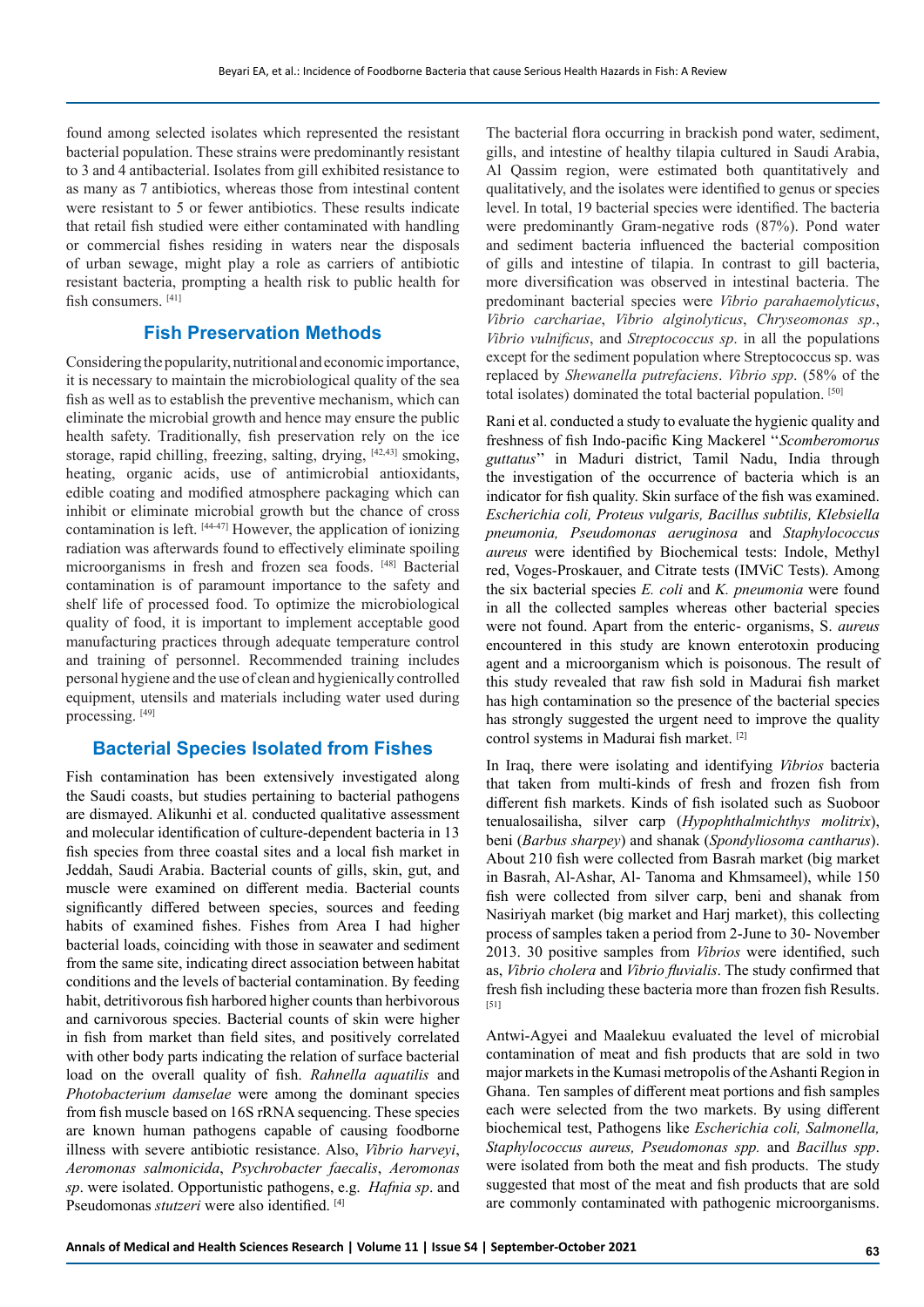found among selected isolates which represented the resistant bacterial population. These strains were predominantly resistant to 3 and 4 antibacterial. Isolates from gill exhibited resistance to as many as 7 antibiotics, whereas those from intestinal content were resistant to 5 or fewer antibiotics. These results indicate that retail fish studied were either contaminated with handling or commercial fishes residing in waters near the disposals of urban sewage, might play a role as carriers of antibiotic resistant bacteria, prompting a health risk to public health for fish consumers. [41]

## **Fish Preservation Methods**

Considering the popularity, nutritional and economic importance, it is necessary to maintain the microbiological quality of the sea fish as well as to establish the preventive mechanism, which can eliminate the microbial growth and hence may ensure the public health safety. Traditionally, fish preservation rely on the ice storage, rapid chilling, freezing, salting, drying, [42,43] smoking, heating, organic acids, use of antimicrobial antioxidants, edible coating and modified atmosphere packaging which can inhibit or eliminate microbial growth but the chance of cross contamination is left. [44-47] However, the application of ionizing radiation was afterwards found to effectively eliminate spoiling microorganisms in fresh and frozen sea foods. [48] Bacterial contamination is of paramount importance to the safety and shelf life of processed food. To optimize the microbiological quality of food, it is important to implement acceptable good manufacturing practices through adequate temperature control and training of personnel. Recommended training includes personal hygiene and the use of clean and hygienically controlled equipment, utensils and materials including water used during processing. [49]

## **Bacterial Species Isolated from Fishes**

Fish contamination has been extensively investigated along the Saudi coasts, but studies pertaining to bacterial pathogens are dismayed. Alikunhi et al. conducted qualitative assessment and molecular identification of culture-dependent bacteria in 13 fish species from three coastal sites and a local fish market in Jeddah, Saudi Arabia. Bacterial counts of gills, skin, gut, and muscle were examined on different media. Bacterial counts significantly differed between species, sources and feeding habits of examined fishes. Fishes from Area I had higher bacterial loads, coinciding with those in seawater and sediment from the same site, indicating direct association between habitat conditions and the levels of bacterial contamination. By feeding habit, detritivorous fish harbored higher counts than herbivorous and carnivorous species. Bacterial counts of skin were higher in fish from market than field sites, and positively correlated with other body parts indicating the relation of surface bacterial load on the overall quality of fish. *Rahnella aquatilis* and *Photobacterium damselae* were among the dominant species from fish muscle based on 16S rRNA sequencing. These species are known human pathogens capable of causing foodborne illness with severe antibiotic resistance. Also, *Vibrio harveyi*, *Aeromonas salmonicida*, *Psychrobacter faecalis*, *Aeromonas sp*. were isolated. Opportunistic pathogens, e.g. *Hafnia sp*. and Pseudomonas *stutzeri* were also identified. [4]

The bacterial flora occurring in brackish pond water, sediment, gills, and intestine of healthy tilapia cultured in Saudi Arabia, Al Qassim region, were estimated both quantitatively and qualitatively, and the isolates were identified to genus or species level. In total, 19 bacterial species were identified. The bacteria were predominantly Gram-negative rods (87%). Pond water and sediment bacteria influenced the bacterial composition of gills and intestine of tilapia. In contrast to gill bacteria, more diversification was observed in intestinal bacteria. The predominant bacterial species were *Vibrio parahaemolyticus*, *Vibrio carchariae*, *Vibrio alginolyticus*, *Chryseomonas sp*., *Vibrio vulnificus*, and *Streptococcus sp*. in all the populations except for the sediment population where Streptococcus sp. was replaced by *Shewanella putrefaciens*. *Vibrio spp*. (58% of the total isolates) dominated the total bacterial population. [50]

Rani et al. conducted a study to evaluate the hygienic quality and freshness of fish Indo-pacific King Mackerel ''*Scomberomorus guttatus*'' in Maduri district, Tamil Nadu, India through the investigation of the occurrence of bacteria which is an indicator for fish quality. Skin surface of the fish was examined. *Escherichia coli, Proteus vulgaris, Bacillus subtilis, Klebsiella pneumonia, Pseudomonas aeruginosa* and *Staphylococcus aureus* were identified by Biochemical tests: Indole, Methyl red, Voges-Proskauer, and Citrate tests (IMViC Tests). Among the six bacterial species *E. coli* and *K. pneumonia* were found in all the collected samples whereas other bacterial species were not found. Apart from the enteric- organisms, S. *aureus* encountered in this study are known enterotoxin producing agent and a microorganism which is poisonous. The result of this study revealed that raw fish sold in Madurai fish market has high contamination so the presence of the bacterial species has strongly suggested the urgent need to improve the quality control systems in Madurai fish market. [2]

In Iraq, there were isolating and identifying *Vibrios* bacteria that taken from multi-kinds of fresh and frozen fish from different fish markets. Kinds of fish isolated such as Suoboor tenualosailisha, silver carp (*Hypophthalmichthys molitrix*), beni (*Barbus sharpey*) and shanak (*Spondyliosoma cantharus*). About 210 fish were collected from Basrah market (big market in Basrah, Al-Ashar, Al- Tanoma and Khmsameel), while 150 fish were collected from silver carp, beni and shanak from Nasiriyah market (big market and Harj market), this collecting process of samples taken a period from 2-June to 30- November 2013. 30 positive samples from *Vibrios* were identified, such as, *Vibrio cholera* and *Vibrio fluvialis*. The study confirmed that fresh fish including these bacteria more than frozen fish Results. [51]

Antwi-Agyei and Maalekuu evaluated the level of microbial contamination of meat and fish products that are sold in two major markets in the Kumasi metropolis of the Ashanti Region in Ghana. Ten samples of different meat portions and fish samples each were selected from the two markets. By using different biochemical test, Pathogens like *Escherichia coli, Salmonella, Staphylococcus aureus, Pseudomonas spp.* and *Bacillus spp*. were isolated from both the meat and fish products. The study suggested that most of the meat and fish products that are sold are commonly contaminated with pathogenic microorganisms.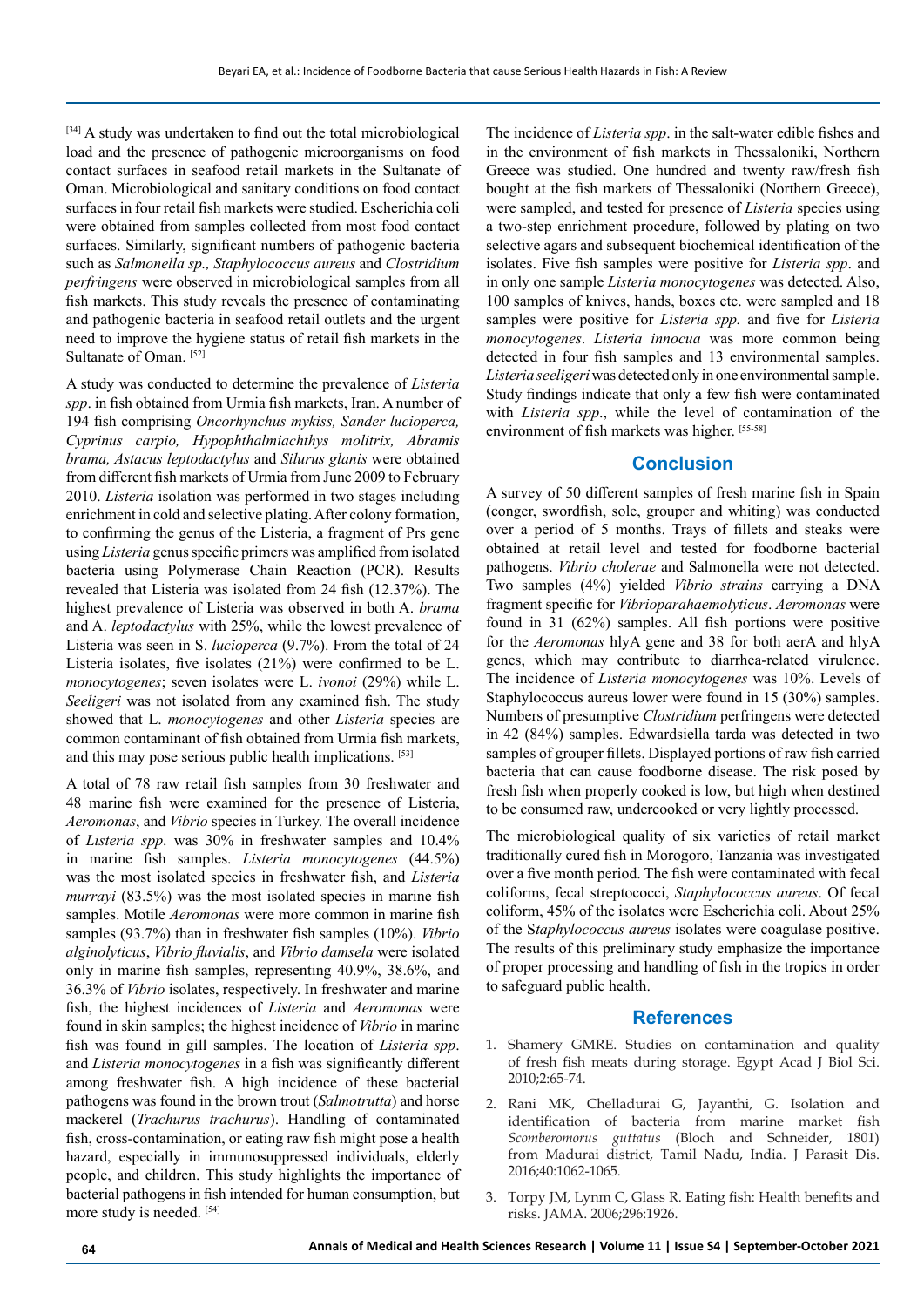[34] A study was undertaken to find out the total microbiological load and the presence of pathogenic microorganisms on food contact surfaces in seafood retail markets in the Sultanate of Oman. Microbiological and sanitary conditions on food contact surfaces in four retail fish markets were studied. Escherichia coli were obtained from samples collected from most food contact surfaces. Similarly, significant numbers of pathogenic bacteria such as *Salmonella sp., Staphylococcus aureus* and *Clostridium perfringens* were observed in microbiological samples from all fish markets. This study reveals the presence of contaminating and pathogenic bacteria in seafood retail outlets and the urgent need to improve the hygiene status of retail fish markets in the Sultanate of Oman. [52]

A study was conducted to determine the prevalence of *Listeria spp*. in fish obtained from Urmia fish markets, Iran. A number of 194 fish comprising *Oncorhynchus mykiss, Sander lucioperca, Cyprinus carpio, Hypophthalmiachthys molitrix, Abramis brama, Astacus leptodactylus* and *Silurus glanis* were obtained from different fish markets of Urmia from June 2009 to February 2010. *Listeria* isolation was performed in two stages including enrichment in cold and selective plating. After colony formation, to confirming the genus of the Listeria, a fragment of Prs gene using *Listeria* genus specific primers was amplified from isolated bacteria using Polymerase Chain Reaction (PCR). Results revealed that Listeria was isolated from 24 fish (12.37%). The highest prevalence of Listeria was observed in both A. *brama* and A. *leptodactylus* with 25%, while the lowest prevalence of Listeria was seen in S. *lucioperca* (9.7%). From the total of 24 Listeria isolates, five isolates (21%) were confirmed to be L. *monocytogenes*; seven isolates were L. *ivonoi* (29%) while L. *Seeligeri* was not isolated from any examined fish. The study showed that L. *monocytogenes* and other *Listeria* species are common contaminant of fish obtained from Urmia fish markets, and this may pose serious public health implications. [53]

A total of 78 raw retail fish samples from 30 freshwater and 48 marine fish were examined for the presence of Listeria, *Aeromonas*, and *Vibrio* species in Turkey. The overall incidence of *Listeria spp*. was 30% in freshwater samples and 10.4% in marine fish samples. *Listeria monocytogenes* (44.5%) was the most isolated species in freshwater fish, and *Listeria murrayi* (83.5%) was the most isolated species in marine fish samples. Motile *Aeromonas* were more common in marine fish samples (93.7%) than in freshwater fish samples (10%). *Vibrio alginolyticus*, *Vibrio fluvialis*, and *Vibrio damsela* were isolated only in marine fish samples, representing 40.9%, 38.6%, and 36.3% of *Vibrio* isolates, respectively. In freshwater and marine fish, the highest incidences of *Listeria* and *Aeromonas* were found in skin samples; the highest incidence of *Vibrio* in marine fish was found in gill samples. The location of *Listeria spp*. and *Listeria monocytogenes* in a fish was significantly different among freshwater fish. A high incidence of these bacterial pathogens was found in the brown trout (*Salmotrutta*) and horse mackerel (*Trachurus trachurus*). Handling of contaminated fish, cross-contamination, or eating raw fish might pose a health hazard, especially in immunosuppressed individuals, elderly people, and children. This study highlights the importance of bacterial pathogens in fish intended for human consumption, but more study is needed. [54]

The incidence of *Listeria spp*. in the salt-water edible fishes and in the environment of fish markets in Thessaloniki, Northern Greece was studied. One hundred and twenty raw/fresh fish bought at the fish markets of Thessaloniki (Northern Greece), were sampled, and tested for presence of *Listeria* species using a two-step enrichment procedure, followed by plating on two selective agars and subsequent biochemical identification of the isolates. Five fish samples were positive for *Listeria spp*. and in only one sample *Listeria monocytogenes* was detected. Also, 100 samples of knives, hands, boxes etc. were sampled and 18 samples were positive for *Listeria spp.* and five for *Listeria monocytogenes*. *Listeria innocua* was more common being detected in four fish samples and 13 environmental samples. *Listeria seeligeri* was detected only in one environmental sample. Study findings indicate that only a few fish were contaminated with *Listeria spp*., while the level of contamination of the environment of fish markets was higher. [55-58]

#### **Conclusion**

A survey of 50 different samples of fresh marine fish in Spain (conger, swordfish, sole, grouper and whiting) was conducted over a period of 5 months. Trays of fillets and steaks were obtained at retail level and tested for foodborne bacterial pathogens. *Vibrio cholerae* and Salmonella were not detected. Two samples (4%) yielded *Vibrio strains* carrying a DNA fragment specific for *Vibrioparahaemolyticus*. *Aeromonas* were found in 31 (62%) samples. All fish portions were positive for the *Aeromonas* hlyA gene and 38 for both aerA and hlyA genes, which may contribute to diarrhea-related virulence. The incidence of *Listeria monocytogenes* was 10%. Levels of Staphylococcus aureus lower were found in 15 (30%) samples. Numbers of presumptive *Clostridium* perfringens were detected in 42 (84%) samples. Edwardsiella tarda was detected in two samples of grouper fillets. Displayed portions of raw fish carried bacteria that can cause foodborne disease. The risk posed by fresh fish when properly cooked is low, but high when destined to be consumed raw, undercooked or very lightly processed.

The microbiological quality of six varieties of retail market traditionally cured fish in Morogoro, Tanzania was investigated over a five month period. The fish were contaminated with fecal coliforms, fecal streptococci, *Staphylococcus aureus*. Of fecal coliform, 45% of the isolates were Escherichia coli. About 25% of the S*taphylococcus aureus* isolates were coagulase positive. The results of this preliminary study emphasize the importance of proper processing and handling of fish in the tropics in order to safeguard public health.

#### **References**

- 1. Shamery GMRE. Studies on contamination and quality of fresh fish meats during storage. Egypt Acad J Biol Sci. 2010;2:65-74.
- 2. Rani MK, Chelladurai G, Jayanthi, G. Isolation and identification of bacteria from marine market fish *Scomberomorus guttatus* (Bloch and Schneider, 1801) from Madurai district, Tamil Nadu, India. J Parasit Dis. 2016;40:1062-1065.
- 3. Torpy JM, Lynm C, Glass R. Eating fish: Health benefits and risks. JAMA. 2006;296:1926.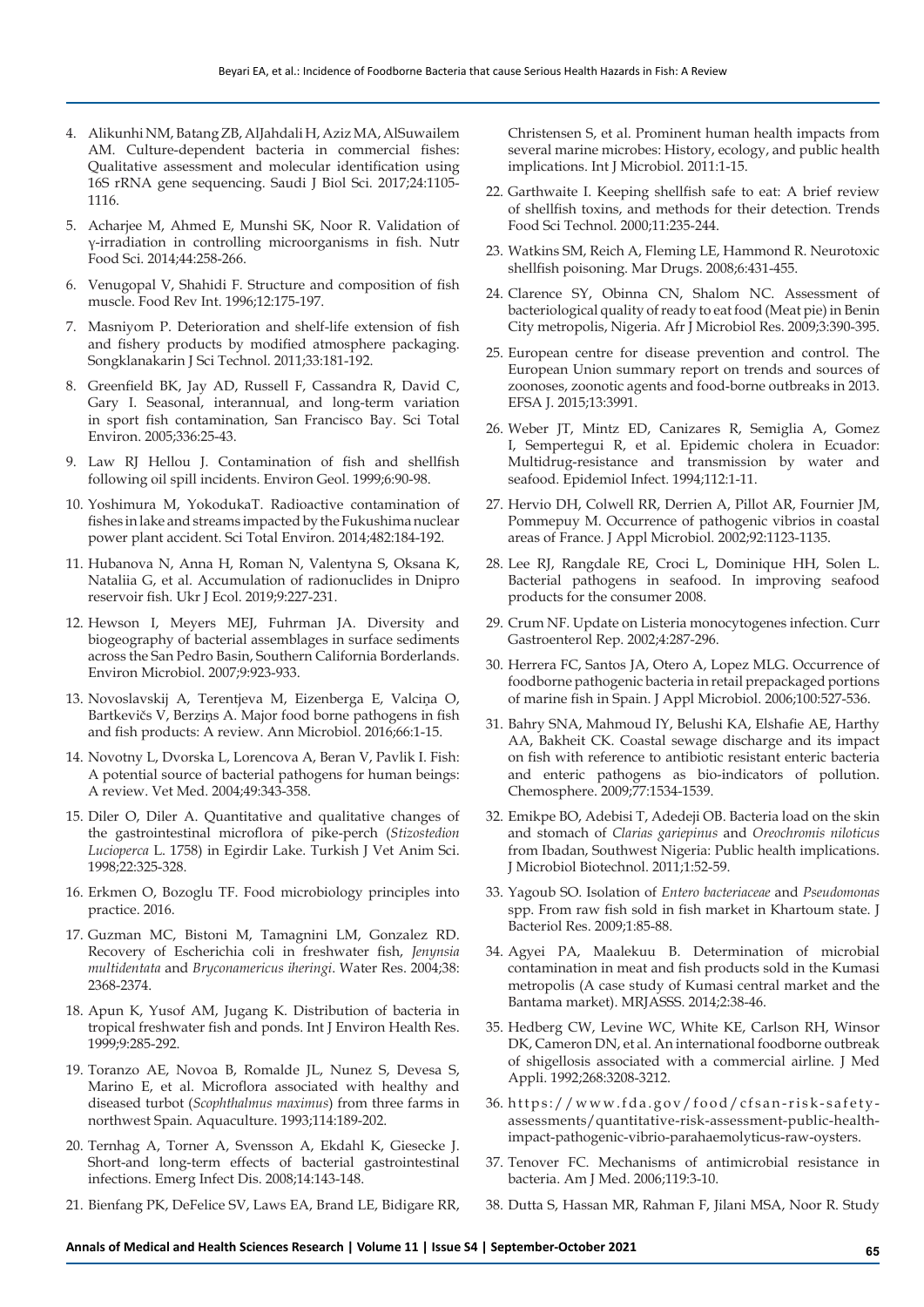- 4. Alikunhi NM, Batang ZB, AlJahdali H, Aziz MA, AlSuwailem AM. Culture-dependent bacteria in commercial fishes: Qualitative assessment and molecular identification using 16S rRNA gene sequencing. Saudi J Biol Sci. 2017;24:1105- 1116.
- 5. Acharjee M, Ahmed E, Munshi SK, Noor R. Validation of γ-irradiation in controlling microorganisms in fish. Nutr Food Sci. 2014;44:258-266.
- 6. Venugopal V, Shahidi F. Structure and composition of fish muscle. Food Rev Int. 1996;12:175-197.
- 7. Masniyom P. Deterioration and shelf-life extension of fish and fishery products by modified atmosphere packaging. Songklanakarin J Sci Technol. 2011;33:181-192.
- 8. Greenfield BK, Jay AD, Russell F, Cassandra R, David C, Gary I. Seasonal, interannual, and long-term variation in sport fish contamination, San Francisco Bay. Sci Total Environ. 2005;336:25-43.
- 9. Law RJ Hellou J. Contamination of fish and shellfish following oil spill incidents. Environ Geol. 1999;6:90-98.
- 10. Yoshimura M, YokodukaT. Radioactive contamination of fishes in lake and streams impacted by the Fukushima nuclear power plant accident. Sci Total Environ. 2014;482:184-192.
- 11. Hubanova N, Anna H, Roman N, Valentyna S, Oksana K, Nataliia G, et al. Accumulation of radionuclides in Dnipro reservoir fish. Ukr J Ecol. 2019;9:227-231.
- 12. Hewson I, Meyers MEJ, Fuhrman JA. Diversity and biogeography of bacterial assemblages in surface sediments across the San Pedro Basin, Southern California Borderlands. Environ Microbiol. 2007;9:923-933.
- 13. Novoslavskij A, Terentjeva M, Eizenberga E, Valciņa O, Bartkevičs V, Berziņs A. Major food borne pathogens in fish and fish products: A review. Ann Microbiol. 2016;66:1-15.
- 14. Novotny L, Dvorska L, Lorencova A, Beran V, Pavlik I. Fish: A potential source of bacterial pathogens for human beings: A review. Vet Med. 2004;49:343-358.
- 15. Diler O, Diler A. Quantitative and qualitative changes of the gastrointestinal microflora of pike-perch (*Stizostedion Lucioperca* L. 1758) in Egirdir Lake. Turkish J Vet Anim Sci. 1998;22:325-328.
- 16. Erkmen O, Bozoglu TF. Food microbiology principles into practice. 2016.
- 17. Guzman MC, Bistoni M, Tamagnini LM, Gonzalez RD. Recovery of Escherichia coli in freshwater fish, *Jenynsia multidentata* and *Bryconamericus iheringi*. Water Res. 2004;38: 2368-2374.
- 18. Apun K, Yusof AM, Jugang K. Distribution of bacteria in tropical freshwater fish and ponds. Int J Environ Health Res. 1999;9:285-292.
- 19. Toranzo AE, Novoa B, Romalde JL, Nunez S, Devesa S, Marino E, et al. Microflora associated with healthy and diseased turbot (*Scophthalmus maximus*) from three farms in northwest Spain. Aquaculture. 1993;114:189-202.
- 20. Ternhag A, Torner A, Svensson A, Ekdahl K, Giesecke J. Short-and long-term effects of bacterial gastrointestinal infections. Emerg Infect Dis. 2008;14:143-148.
- 21. Bienfang PK, DeFelice SV, Laws EA, Brand LE, Bidigare RR,

Christensen S, et al. Prominent human health impacts from several marine microbes: History, ecology, and public health implications. Int J Microbiol. 2011:1-15.

- 22. Garthwaite I. Keeping shellfish safe to eat: A brief review of shellfish toxins, and methods for their detection. Trends Food Sci Technol. 2000;11:235-244.
- 23. Watkins SM, Reich A, Fleming LE, Hammond R. Neurotoxic shellfish poisoning. Mar Drugs. 2008;6:431-455.
- 24. Clarence SY, Obinna CN, Shalom NC. Assessment of bacteriological quality of ready to eat food (Meat pie) in Benin City metropolis, Nigeria. Afr J Microbiol Res. 2009;3:390-395.
- 25. European centre for disease prevention and control. The European Union summary report on trends and sources of zoonoses, zoonotic agents and food‐borne outbreaks in 2013. EFSA J. 2015;13:3991.
- 26. Weber JT, Mintz ED, Canizares R, Semiglia A, Gomez I, Sempertegui R, et al. Epidemic cholera in Ecuador: Multidrug-resistance and transmission by water and seafood. Epidemiol Infect. 1994;112:1-11.
- 27. Hervio DH, Colwell RR, Derrien A, Pillot AR, Fournier JM, Pommepuy M. Occurrence of pathogenic vibrios in coastal areas of France. J Appl Microbiol. 2002;92:1123-1135.
- 28. Lee RJ, Rangdale RE, Croci L, Dominique HH, Solen L. Bacterial pathogens in seafood. In improving seafood products for the consumer 2008.
- 29. Crum NF. Update on Listeria monocytogenes infection. Curr Gastroenterol Rep. 2002;4:287-296.
- 30. Herrera FC, Santos JA, Otero A, Lopez MLG. Occurrence of foodborne pathogenic bacteria in retail prepackaged portions of marine fish in Spain. J Appl Microbiol. 2006;100:527-536.
- 31. Bahry SNA, Mahmoud IY, Belushi KA, Elshafie AE, Harthy AA, Bakheit CK. Coastal sewage discharge and its impact on fish with reference to antibiotic resistant enteric bacteria and enteric pathogens as bio-indicators of pollution. Chemosphere. 2009;77:1534-1539.
- 32. Emikpe BO, Adebisi T, Adedeji OB. Bacteria load on the skin and stomach of *Clarias gariepinus* and *Oreochromis niloticus* from Ibadan, Southwest Nigeria: Public health implications. J Microbiol Biotechnol. 2011;1:52-59.
- 33. Yagoub SO. Isolation of *Entero bacteriaceae* and *Pseudomonas* spp. From raw fish sold in fish market in Khartoum state. J Bacteriol Res. 2009;1:85-88.
- 34. Agyei PA, Maalekuu B. Determination of microbial contamination in meat and fish products sold in the Kumasi metropolis (A case study of Kumasi central market and the Bantama market). MRJASSS. 2014;2:38-46.
- 35. Hedberg CW, Levine WC, White KE, Carlson RH, Winsor DK, Cameron DN, et al. An international foodborne outbreak of shigellosis associated with a commercial airline. J Med Appli. 1992;268:3208-3212.
- 36. https://www.fda.gov/food/cfsan-risk-safetyassessments/quantitative-risk-assessment-public-healthimpact-pathogenic-vibrio-parahaemolyticus-raw-oysters.
- 37. Tenover FC. Mechanisms of antimicrobial resistance in bacteria. Am J Med. 2006;119:3-10.
- 38. Dutta S, Hassan MR, Rahman F, Jilani MSA, Noor R. Study